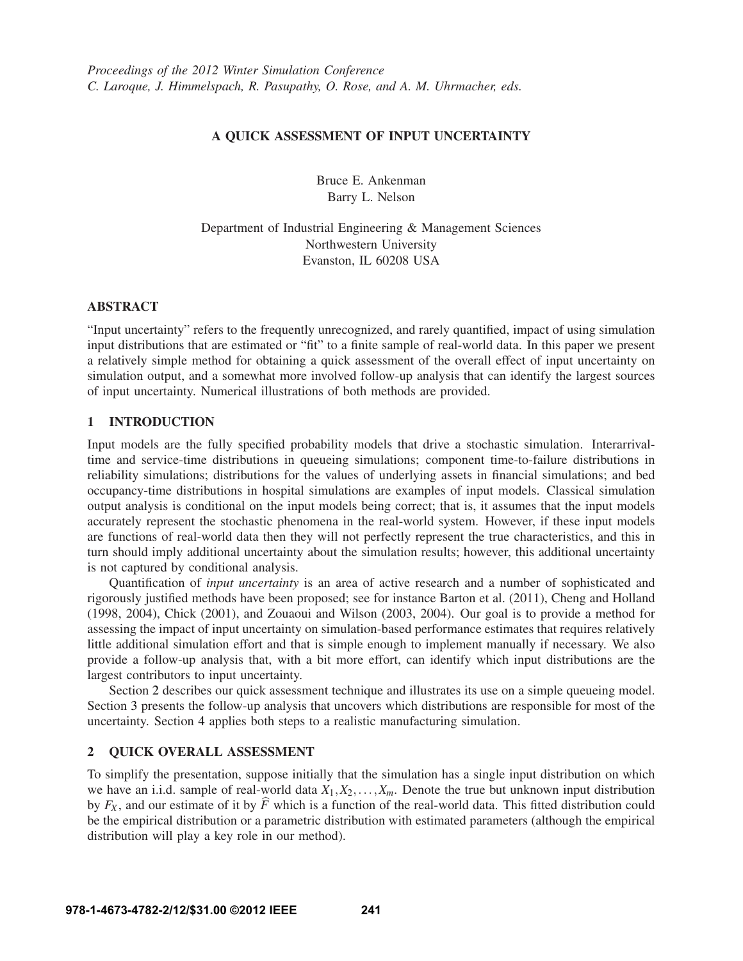# **A QUICK ASSESSMENT OF INPUT UNCERTAINTY**

Bruce E. Ankenman Barry L. Nelson

Department of Industrial Engineering & Management Sciences Northwestern University Evanston, IL 60208 USA

# **ABSTRACT**

"Input uncertainty" refers to the frequently unrecognized, and rarely quantified, impact of using simulation input distributions that are estimated or "fit" to a finite sample of real-world data. In this paper we present a relatively simple method for obtaining a quick assessment of the overall effect of input uncertainty on simulation output, and a somewhat more involved follow-up analysis that can identify the largest sources of input uncertainty. Numerical illustrations of both methods are provided.

# **1 INTRODUCTION**

Input models are the fully specified probability models that drive a stochastic simulation. Interarrivaltime and service-time distributions in queueing simulations; component time-to-failure distributions in reliability simulations; distributions for the values of underlying assets in financial simulations; and bed occupancy-time distributions in hospital simulations are examples of input models. Classical simulation output analysis is conditional on the input models being correct; that is, it assumes that the input models accurately represent the stochastic phenomena in the real-world system. However, if these input models are functions of real-world data then they will not perfectly represent the true characteristics, and this in turn should imply additional uncertainty about the simulation results; however, this additional uncertainty is not captured by conditional analysis.

Quantification of *input uncertainty* is an area of active research and a number of sophisticated and rigorously justified methods have been proposed; see for instance Barton et al. (2011), Cheng and Holland (1998, 2004), Chick (2001), and Zouaoui and Wilson (2003, 2004). Our goal is to provide a method for assessing the impact of input uncertainty on simulation-based performance estimates that requires relatively little additional simulation effort and that is simple enough to implement manually if necessary. We also provide a follow-up analysis that, with a bit more effort, can identify which input distributions are the largest contributors to input uncertainty.

Section 2 describes our quick assessment technique and illustrates its use on a simple queueing model. Section 3 presents the follow-up analysis that uncovers which distributions are responsible for most of the uncertainty. Section 4 applies both steps to a realistic manufacturing simulation.

### **2 QUICK OVERALL ASSESSMENT**

To simplify the presentation, suppose initially that the simulation has a single input distribution on which we have an i.i.d. sample of real-world data  $X_1, X_2, \ldots, X_m$ . Denote the true but unknown input distribution by  $F_X$ , and our estimate of it by  $\hat{F}$  which is a function of the real-world data. This fitted distribution could be the empirical distribution or a parametric distribution with estimated parameters (although the empirical distribution will play a key role in our method).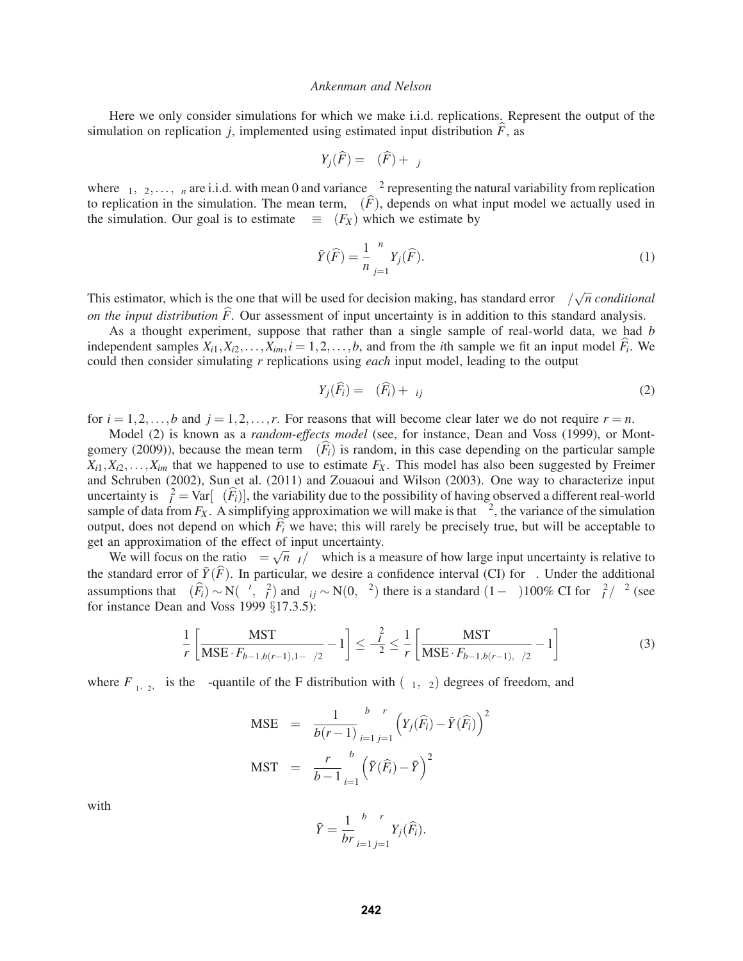Here we only consider simulations for which we make i.i.d. replications. Represent the output of the simulation on replication *j*, implemented using estimated input distribution  $\hat{F}$ , as

$$
Y_j(\widehat{F}) = \mu(\widehat{F}) + \varepsilon_j
$$

where  $\varepsilon_1, \varepsilon_2, \ldots, \varepsilon_n$  are i.i.d. with mean 0 and variance  $\sigma^2$  representing the natural variability from replication to replication in the simulation. The mean term,  $\mu(\widehat{F})$ , depends on what input model we actually used in the simulation. Our goal is to estimate  $\mu \equiv \mu(F_X)$  which we estimate by

$$
\bar{Y}(\hat{F}) = \frac{1}{n} \sum_{j=1}^{n} Y_j(\hat{F}).
$$
\n(1)

This estimator, which is the one that will be used for decision making, has standard error  $\sigma/\sqrt{n}$  *conditional on the input distribution*  $\hat{F}$ . Our assessment of input uncertainty is in addition to this standard analysis.

As a thought experiment, suppose that rather than a single sample of real-world data, we had *b* independent samples  $X_{i1}, X_{i2}, \ldots, X_{im}, i = 1, 2, \ldots, b$ , and from the *i*th sample we fit an input model  $F_i$ . We could then consider simulating *r* replications using *each* input model, leading to the output

$$
Y_j(\widehat{F}_i) = \mu(\widehat{F}_i) + \varepsilon_{ij}
$$
\n(2)

for  $i = 1, 2, \ldots, b$  and  $j = 1, 2, \ldots, r$ . For reasons that will become clear later we do not require  $r = n$ .

Model (2) is known as a *random-effects model* (see, for instance, Dean and Voss (1999), or Montgomery (2009)), because the mean term  $\mu(F_i)$  is random, in this case depending on the particular sample  $X_{i1}, X_{i2}, \ldots, X_{im}$  that we happened to use to estimate  $F_X$ . This model has also been suggested by Freimer and Schruben (2002), Sun et al. (2011) and Zouaoui and Wilson (2003). One way to characterize input uncertainty is  $\sigma_l^2 = \text{Var}[\mu(\widehat{F}_i)]$ , the variability due to the possibility of having observed a different real-world sample of data from  $F_X$ . A simplifying approximation we will make is that  $\sigma^2$ , the variance of the simulation output, does not depend on which  $\widehat{F}_i$  we have; this will rarely be precisely true, but will be acceptable to get an approximation of the effect of input uncertainty.

We will focus on the ratio  $\gamma = \sqrt{n} \sigma_I/\sigma$  which is a measure of how large input uncertainty is relative to the standard error of  $\bar{Y}(\hat{F})$ . In particular, we desire a confidence interval (CI) for  $\gamma$ . Under the additional assumptions that  $\mu(\widehat{F}_i) \sim N(\mu', \sigma_i^2)$  and  $\varepsilon_{ij} \sim N(0, \sigma^2)$  there is a standard  $(1-\alpha)100\%$  CI for  $\sigma_i^2/\sigma^2$  (see for instance Dean and Voss 1999 §17.3.5):

$$
\frac{1}{r} \left[ \frac{\text{MST}}{\text{MSE} \cdot F_{b-1,b(r-1),1-\alpha/2}} - 1 \right] \le \frac{\sigma_l^2}{\sigma^2} \le \frac{1}{r} \left[ \frac{\text{MST}}{\text{MSE} \cdot F_{b-1,b(r-1),\alpha/2}} - 1 \right]
$$
(3)

where  $F_{v_1,v_2,\beta}$  is the  $\beta$ -quantile of the F distribution with  $(v_1,v_2)$  degrees of freedom, and

$$
\begin{array}{rcl} \text{MSE} & = & \frac{1}{b(r-1)} \sum_{i=1}^{b} \sum_{j=1}^{r} \left( Y_j(\widehat{F}_i) - \bar{Y}(\widehat{F}_i) \right)^2 \\ \text{MST} & = & \frac{r}{b-1} \sum_{i=1}^{b} \left( \bar{Y}(\widehat{F}_i) - \bar{Y} \right)^2 \end{array}
$$

with

$$
\bar{Y} = \frac{1}{br} \sum_{i=1}^{b} \sum_{j=1}^{r} Y_j(\widehat{F}_i).
$$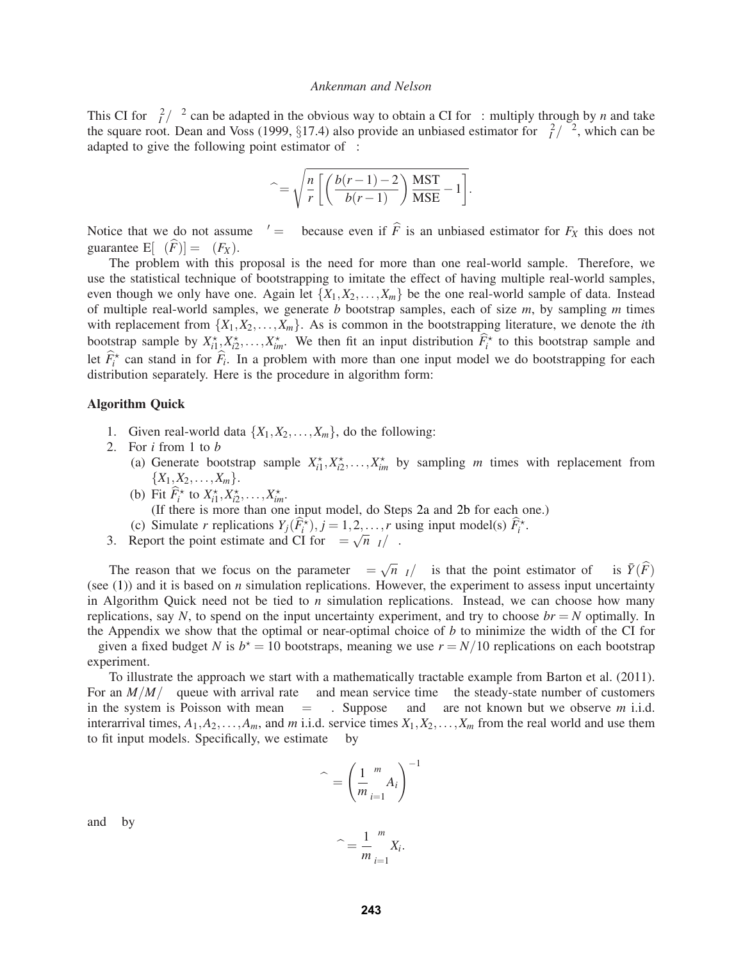This CI for  $\sigma_l^2/\sigma^2$  can be adapted in the obvious way to obtain a CI for  $\gamma$ : multiply through by *n* and take the square root. Dean and Voss (1999, §17.4) also provide an unbiased estimator for  $\sigma_l^2/\sigma^2$ , which can be adapted to give the following point estimator of  $\gamma$ :

$$
\widehat{\gamma} = \sqrt{\frac{n}{r} \left[ \left( \frac{b(r-1) - 2}{b(r-1)} \right) \frac{\text{MST}}{\text{MSE}} - 1 \right]}.
$$

Notice that we do not assume  $\mu' = \mu$  because even if *F* is an unbiased estimator for  $F_X$  this does not guarantee  $E[\mu(\widehat{F})] = \mu(F_X)$ .

The problem with this proposal is the need for more than one real-world sample. Therefore, we use the statistical technique of bootstrapping to imitate the effect of having multiple real-world samples, even though we only have one. Again let  $\{X_1, X_2, \ldots, X_m\}$  be the one real-world sample of data. Instead of multiple real-world samples, we generate *b* bootstrap samples, each of size *m*, by sampling *m* times with replacement from  $\{X_1, X_2, \ldots, X_m\}$ . As is common in the bootstrapping literature, we denote the *i*th bootstrap sample by  $X_{i1}^{\star}, X_{i2}^{\star}, \ldots, X_{im}^{\star}$ . We then fit an input distribution  $\widehat{F}_i^{\star}$  to this bootstrap sample and let  $\widehat{F}_i^{\star}$  can stand in for  $\widehat{F}_i$ . In a problem with more than one input model we do bootstrapping for each distribution separately. Here is the procedure in algorithm form:

#### **Algorithm Quick**

- 1. Given real-world data  $\{X_1, X_2, \ldots, X_m\}$ , do the following:
- 2. For *i* from 1 to *b*
	- (a) Generate bootstrap sample  $X_{i1}^{\star}, X_{i2}^{\star}, \ldots, X_{im}^{\star}$  by sampling *m* times with replacement from  $\{X_1, X_2, \ldots, X_m\}.$
	- (b) Fit  $\widehat{F}_i^*$  to  $X_{i1}^*, X_{i2}^*, \ldots, X_{im}^*$ .

(If there is more than one input model, do Steps 2a and 2b for each one.)

- (c) Simulate *r* replications  $Y_j(\widehat{F}_i^{\star})$ ,  $j = 1, 2, \ldots, r$  using input model(s)  $\widehat{F}_i^{\star}$ .
- 3. Report the point estimate and CI for  $\gamma = \sqrt{n \sigma_I/\sigma}$ .

The reason that we focus on the parameter  $\gamma = \sqrt{n} \sigma_I/\sigma$  is that the point estimator of  $\mu$  is  $\bar{Y}(\hat{F})$ (see  $(1)$ ) and it is based on *n* simulation replications. However, the experiment to assess input uncertainty in Algorithm Quick need not be tied to *n* simulation replications. Instead, we can choose how many replications, say *N*, to spend on the input uncertainty experiment, and try to choose  $br = N$  optimally. In the Appendix we show that the optimal or near-optimal choice of *b* to minimize the width of the CI for  $\gamma$  given a fixed budget *N* is  $b^* = 10$  bootstraps, meaning we use  $r = N/10$  replications on each bootstrap experiment.

To illustrate the approach we start with a mathematically tractable example from Barton et al. (2011). For an  $M/M/\infty$  queue with arrival rate  $\lambda$  and mean service time  $\tau$  the steady-state number of customers in the system is Poisson with mean  $\mu = \lambda \tau$ . Suppose  $\lambda$  and  $\tau$  are not known but we observe *m* i.i.d. interarrival times,  $A_1, A_2, \ldots, A_m$ , and *m* i.i.d. service times  $X_1, X_2, \ldots, X_m$  from the real world and use them to fit input models. Specifically, we estimate  $\lambda$  by

$$
\widehat{\lambda} = \left(\frac{1}{m} \sum_{i=1}^{m} A_i\right)^{-1}
$$

and  $\tau$  by

 $\widehat{\tau} = \frac{1}{m}$ *m m* ∑ *i*=1 *Xi* .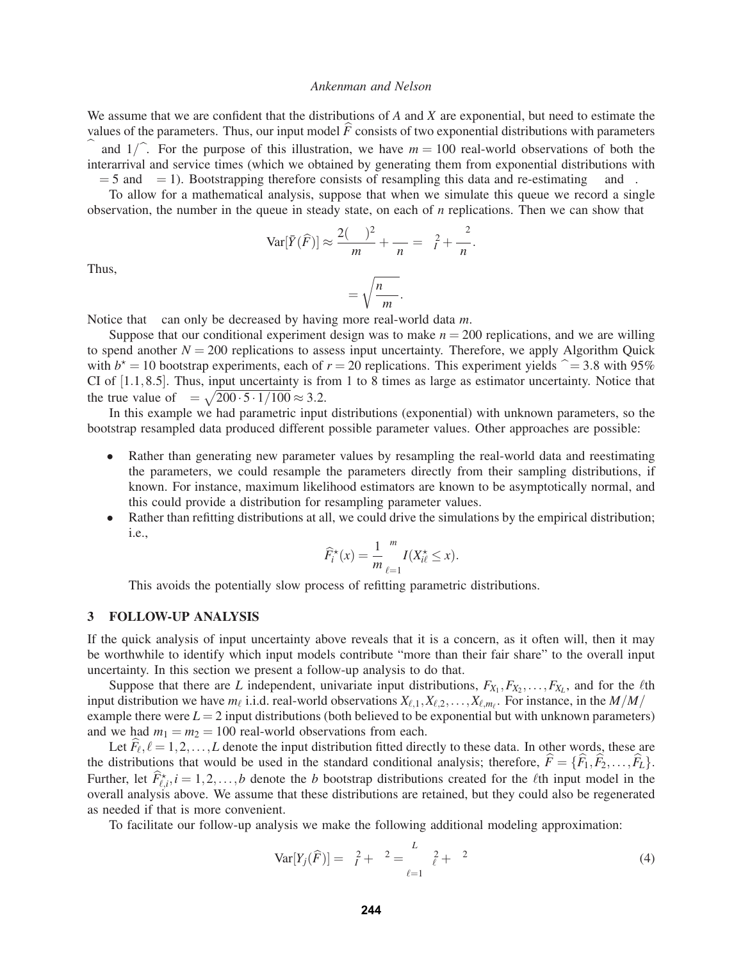We assume that we are confident that the distributions of *A* and *X* are exponential, but need to estimate the values of the parameters. Thus, our input model  $\hat{F}$  consists of two exponential distributions with parameters  $\hat{\lambda}$  and  $1/\hat{\tau}$ . For the purpose of this illustration, we have  $m = 100$  real-world observations of both the interarrival and service times (which we obtained by generating them from exponential distributions with  $\lambda = 5$  and  $\tau = 1$ ). Bootstrapping therefore consists of resampling this data and re-estimating  $\lambda$  and  $\tau$ .

To allow for a mathematical analysis, suppose that when we simulate this queue we record a single observation, the number in the queue in steady state, on each of *n* replications. Then we can show that

$$
\text{Var}[\bar{Y}(\widehat{F})] \approx \frac{2(\lambda \tau)^2}{m} + \frac{\lambda \tau}{n} = \sigma_I^2 + \frac{\sigma^2}{n}.
$$

Thus,

$$
\gamma = \sqrt{\frac{n\lambda\tau}{m}}.
$$

Notice that γ can only be decreased by having more real-world data *m*.

Suppose that our conditional experiment design was to make  $n = 200$  replications, and we are willing to spend another  $N = 200$  replications to assess input uncertainty. Therefore, we apply Algorithm Quick with  $b^* = 10$  bootstrap experiments, each of  $r = 20$  replications. This experiment yields  $\hat{\gamma} = 3.8$  with 95% CI of [1.1,8.5]. Thus, input uncertainty is from 1 to 8 times as large as estimator uncertainty. Notice that the true value of  $\gamma = \sqrt{200 \cdot 5 \cdot 1/100} \approx 3.2$ .

In this example we had parametric input distributions (exponential) with unknown parameters, so the bootstrap resampled data produced different possible parameter values. Other approaches are possible:

- Rather than generating new parameter values by resampling the real-world data and reestimating the parameters, we could resample the parameters directly from their sampling distributions, if known. For instance, maximum likelihood estimators are known to be asymptotically normal, and this could provide a distribution for resampling parameter values.
- Rather than refitting distributions at all, we could drive the simulations by the empirical distribution; i.e.,

$$
\widehat{F}_i^*(x) = \frac{1}{m} \sum_{\ell=1}^m I(X_{i\ell}^* \leq x).
$$

This avoids the potentially slow process of refitting parametric distributions.

### **3 FOLLOW-UP ANALYSIS**

If the quick analysis of input uncertainty above reveals that it is a concern, as it often will, then it may be worthwhile to identify which input models contribute "more than their fair share" to the overall input uncertainty. In this section we present a follow-up analysis to do that.

Suppose that there are *L* independent, univariate input distributions,  $F_{X_1}, F_{X_2}, \ldots, F_{X_L}$ , and for the  $\ell$ th input distribution we have  $m_\ell$  i.i.d. real-world observations  $X_{\ell,1}, X_{\ell,2},...,X_{\ell,m_\ell}$ . For instance, in the  $M/M/\infty$ example there were  $L = 2$  input distributions (both believed to be exponential but with unknown parameters) and we had  $m_1 = m_2 = 100$  real-world observations from each.

Let  $F_\ell$ ,  $\ell = 1, 2, \ldots, L$  denote the input distribution fitted directly to these data. In other words, these are the distributions that would be used in the standard conditional analysis; therefore,  $\hat{F} = {\hat{F}_1, \hat{F}_2, \dots, \hat{F}_L}$ . Further, let  $\widehat{F}_{\ell,i}^{\star}$ ,  $i = 1, 2, \ldots, b$  denote the *b* bootstrap distributions created for the *l*th input model in the overall analysis above. We assume that these distributions are retained, but they could also be regenerated as needed if that is more convenient.

To facilitate our follow-up analysis we make the following additional modeling approximation:

$$
\text{Var}[Y_j(\widehat{F})] = \sigma_I^2 + \sigma^2 = \sum_{\ell=1}^L \sigma_\ell^2 + \sigma^2 \tag{4}
$$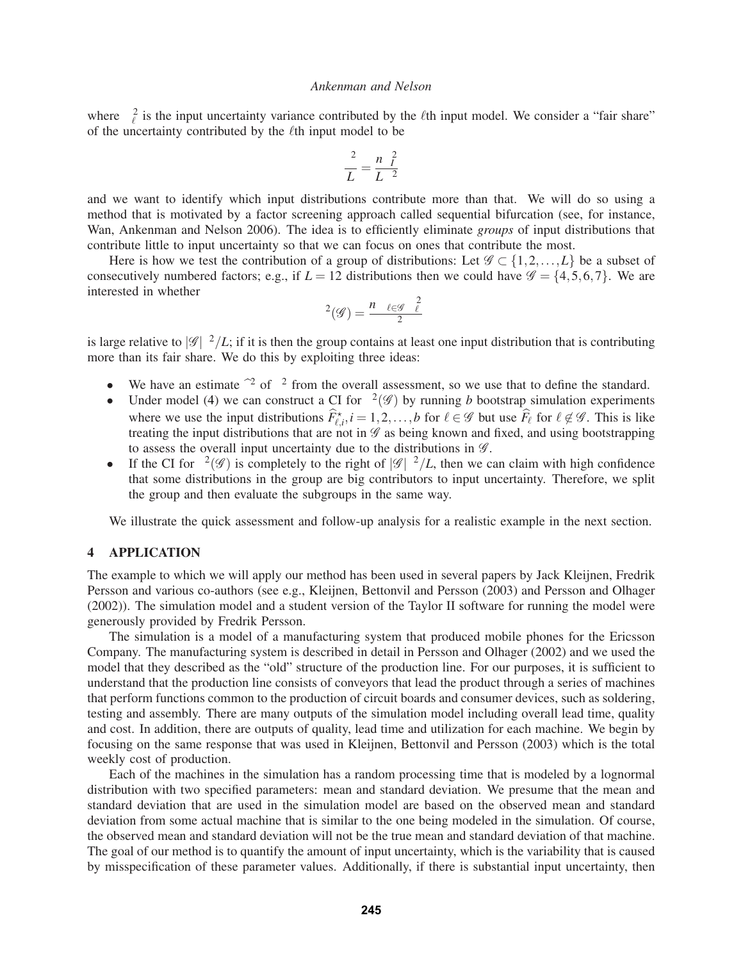where  $\sigma_{\ell}^2$  is the input uncertainty variance contributed by the  $\ell$ th input model. We consider a "fair share" of the uncertainty contributed by the  $\ell$ th input model to be

$$
\frac{\gamma^2}{L} = \frac{n\sigma_l^2}{L\sigma^2}
$$

and we want to identify which input distributions contribute more than that. We will do so using a method that is motivated by a factor screening approach called sequential bifurcation (see, for instance, Wan, Ankenman and Nelson 2006). The idea is to efficiently eliminate *groups* of input distributions that contribute little to input uncertainty so that we can focus on ones that contribute the most.

Here is how we test the contribution of a group of distributions: Let  $\mathscr{G} \subset \{1,2,\ldots,L\}$  be a subset of consecutively numbered factors; e.g., if  $L = 12$  distributions then we could have  $\mathscr{G} = \{4, 5, 6, 7\}$ . We are interested in whether

$$
\gamma^2(\mathscr{G}) = \frac{n \sum_{\ell \in \mathscr{G}} \sigma_\ell^2}{\sigma^2}
$$

is large relative to  $\frac{g}{\gamma}L$ ; if it is then the group contains at least one input distribution that is contributing more than its fair share. We do this by exploiting three ideas:

- We have an estimate  $\hat{\gamma}^2$  of  $\gamma^2$  from the overall assessment, so we use that to define the standard.
- Under model (4) we can construct a CI for  $\gamma^2(\mathscr{G})$  by running *b* bootstrap simulation experiments where we use the input distributions  $\widehat{F}_{\ell,i}^*$ ,  $i = 1,2,\ldots,b$  for  $\ell \in \mathscr{G}$  but use  $\widehat{F}_\ell$  for  $\ell \notin \mathscr{G}$ . This is like treating the input distributions that are not in  $\mathscr G$  as being known and fixed, and using bootstrapping to assess the overall input uncertainty due to the distributions in  $\mathscr{G}$ .
- If the CI for  $\gamma^2(\mathscr{G})$  is completely to the right of  $|\mathscr{G}|\gamma^2/L$ , then we can claim with high confidence that some distributions in the group are big contributors to input uncertainty. Therefore, we split the group and then evaluate the subgroups in the same way.

We illustrate the quick assessment and follow-up analysis for a realistic example in the next section.

### **4 APPLICATION**

The example to which we will apply our method has been used in several papers by Jack Kleijnen, Fredrik Persson and various co-authors (see e.g., Kleijnen, Bettonvil and Persson (2003) and Persson and Olhager (2002)). The simulation model and a student version of the Taylor II software for running the model were generously provided by Fredrik Persson.

The simulation is a model of a manufacturing system that produced mobile phones for the Ericsson Company. The manufacturing system is described in detail in Persson and Olhager (2002) and we used the model that they described as the "old" structure of the production line. For our purposes, it is sufficient to understand that the production line consists of conveyors that lead the product through a series of machines that perform functions common to the production of circuit boards and consumer devices, such as soldering, testing and assembly. There are many outputs of the simulation model including overall lead time, quality and cost. In addition, there are outputs of quality, lead time and utilization for each machine. We begin by focusing on the same response that was used in Kleijnen, Bettonvil and Persson (2003) which is the total weekly cost of production.

Each of the machines in the simulation has a random processing time that is modeled by a lognormal distribution with two specified parameters: mean and standard deviation. We presume that the mean and standard deviation that are used in the simulation model are based on the observed mean and standard deviation from some actual machine that is similar to the one being modeled in the simulation. Of course, the observed mean and standard deviation will not be the true mean and standard deviation of that machine. The goal of our method is to quantify the amount of input uncertainty, which is the variability that is caused by misspecification of these parameter values. Additionally, if there is substantial input uncertainty, then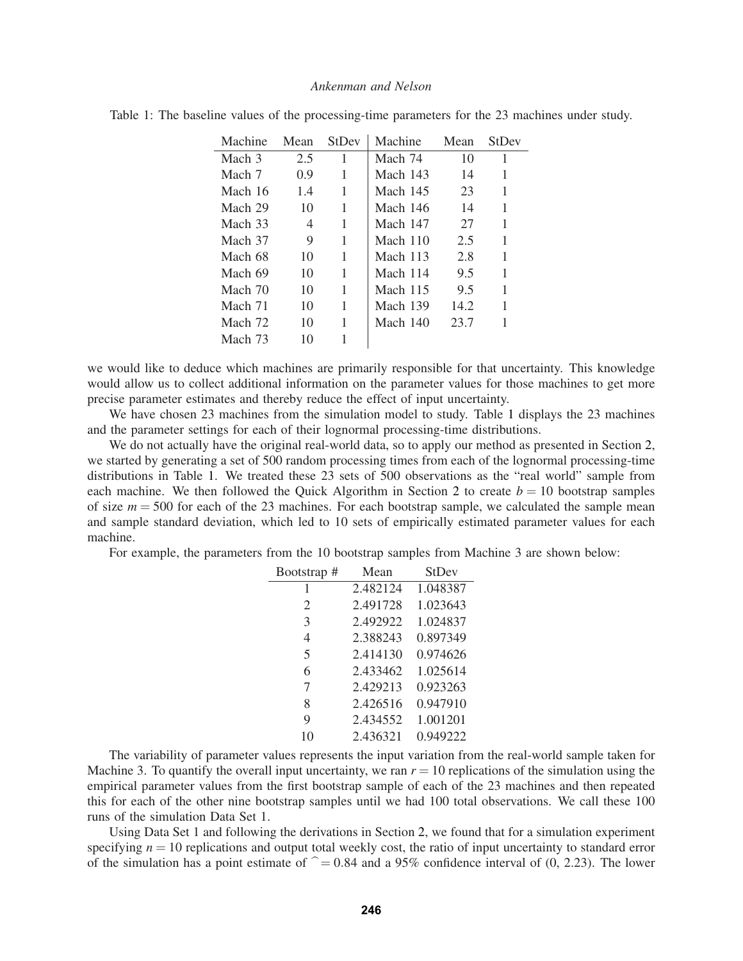| Machine | Mean | StDev | Machine    | Mean | StDev |
|---------|------|-------|------------|------|-------|
| Mach 3  | 2.5  | 1     | Mach 74    | 10   | 1     |
| Mach 7  | 0.9  | 1     | Mach 143   | 14   | 1     |
| Mach 16 | 1.4  | 1     | Mach 145   | 23   | 1     |
| Mach 29 | 10   | 1     | Mach 146   | 14   | 1     |
| Mach 33 | 4    | 1     | Mach 147   | 27   | 1     |
| Mach 37 | 9    | 1     | Mach $110$ | 2.5  | 1     |
| Mach 68 | 10   | 1     | Mach 113   | 2.8  | 1     |
| Mach 69 | 10   | 1     | Mach 114   | 9.5  | 1     |
| Mach 70 | 10   | 1     | Mach 115   | 9.5  | 1     |
| Mach 71 | 10   | 1     | Mach 139   | 14.2 | 1     |
| Mach 72 | 10   | 1     | Mach 140   | 23.7 | 1     |
| Mach 73 | 10   | 1     |            |      |       |

|  |  | Table 1: The baseline values of the processing-time parameters for the 23 machines under study. |  |  |  |
|--|--|-------------------------------------------------------------------------------------------------|--|--|--|
|  |  |                                                                                                 |  |  |  |

we would like to deduce which machines are primarily responsible for that uncertainty. This knowledge would allow us to collect additional information on the parameter values for those machines to get more precise parameter estimates and thereby reduce the effect of input uncertainty.

We have chosen 23 machines from the simulation model to study. Table 1 displays the 23 machines and the parameter settings for each of their lognormal processing-time distributions.

We do not actually have the original real-world data, so to apply our method as presented in Section 2, we started by generating a set of 500 random processing times from each of the lognormal processing-time distributions in Table 1. We treated these 23 sets of 500 observations as the "real world" sample from each machine. We then followed the Quick Algorithm in Section 2 to create  $b = 10$  bootstrap samples of size *m* = 500 for each of the 23 machines. For each bootstrap sample, we calculated the sample mean and sample standard deviation, which led to 10 sets of empirically estimated parameter values for each machine.

For example, the parameters from the 10 bootstrap samples from Machine 3 are shown below:

| Bootstrap#     | Mean     | <b>StDev</b> |  |
|----------------|----------|--------------|--|
| 1              | 2.482124 | 1.048387     |  |
| $\overline{c}$ | 2.491728 | 1.023643     |  |
| 3              | 2.492922 | 1.024837     |  |
| 4              | 2.388243 | 0.897349     |  |
| 5              | 2.414130 | 0.974626     |  |
| 6              | 2.433462 | 1.025614     |  |
| 7              | 2.429213 | 0.923263     |  |
| 8              | 2.426516 | 0.947910     |  |
| 9              | 2.434552 | 1.001201     |  |
| 10             | 2.436321 | 0.949222     |  |

The variability of parameter values represents the input variation from the real-world sample taken for Machine 3. To quantify the overall input uncertainty, we ran  $r = 10$  replications of the simulation using the empirical parameter values from the first bootstrap sample of each of the 23 machines and then repeated this for each of the other nine bootstrap samples until we had 100 total observations. We call these 100 runs of the simulation Data Set 1.

Using Data Set 1 and following the derivations in Section 2, we found that for a simulation experiment specifying  $n = 10$  replications and output total weekly cost, the ratio of input uncertainty to standard error of the simulation has a point estimate of  $\hat{\gamma} = 0.84$  and a 95% confidence interval of (0, 2.23). The lower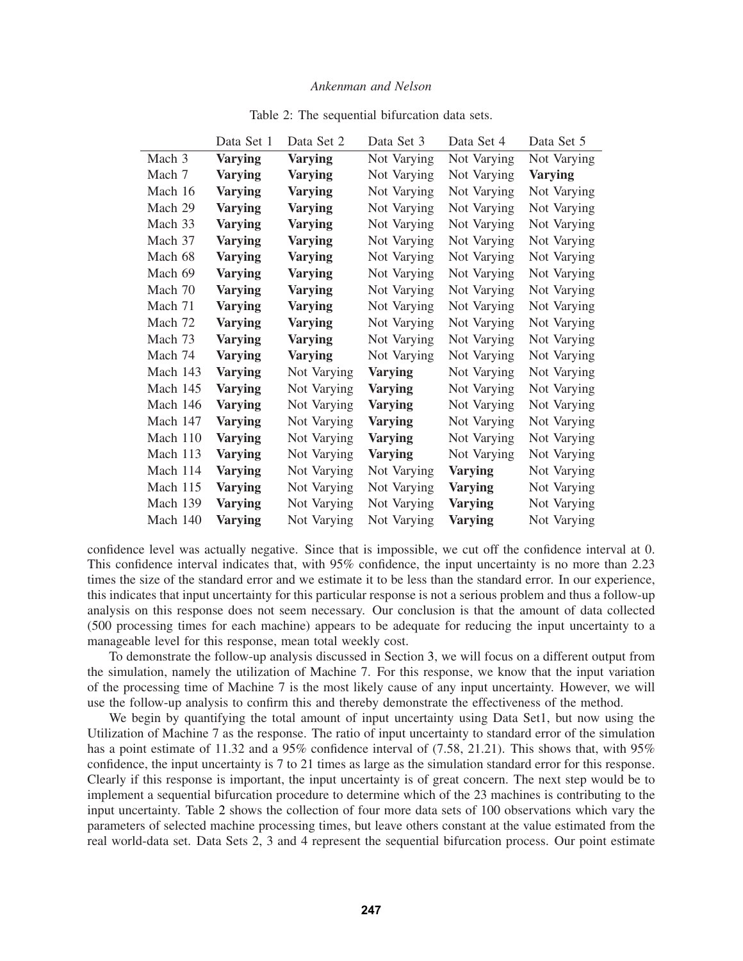|          | Data Set 1     | Data Set 2     | Data Set 3     | Data Set 4     | Data Set 5     |
|----------|----------------|----------------|----------------|----------------|----------------|
| Mach 3   | <b>Varying</b> | <b>Varying</b> | Not Varying    | Not Varying    | Not Varying    |
| Mach 7   | <b>Varying</b> | <b>Varying</b> | Not Varying    | Not Varying    | <b>Varying</b> |
| Mach 16  | <b>Varying</b> | <b>Varying</b> | Not Varying    | Not Varying    | Not Varying    |
| Mach 29  | <b>Varying</b> | <b>Varying</b> | Not Varying    | Not Varying    | Not Varying    |
| Mach 33  | <b>Varying</b> | <b>Varying</b> | Not Varying    | Not Varying    | Not Varying    |
| Mach 37  | <b>Varying</b> | <b>Varying</b> | Not Varying    | Not Varying    | Not Varying    |
| Mach 68  | Varying        | <b>Varying</b> | Not Varying    | Not Varying    | Not Varying    |
| Mach 69  | <b>Varying</b> | <b>Varying</b> | Not Varying    | Not Varying    | Not Varying    |
| Mach 70  | <b>Varying</b> | <b>Varying</b> | Not Varying    | Not Varying    | Not Varying    |
| Mach 71  | <b>Varying</b> | <b>Varying</b> | Not Varying    | Not Varying    | Not Varying    |
| Mach 72  | <b>Varying</b> | <b>Varying</b> | Not Varying    | Not Varying    | Not Varying    |
| Mach 73  | Varying        | <b>Varying</b> | Not Varying    | Not Varying    | Not Varying    |
| Mach 74  | Varying        | <b>Varying</b> | Not Varying    | Not Varying    | Not Varying    |
| Mach 143 | <b>Varying</b> | Not Varying    | <b>Varying</b> | Not Varying    | Not Varying    |
| Mach 145 | <b>Varying</b> | Not Varying    | <b>Varying</b> | Not Varying    | Not Varying    |
| Mach 146 | <b>Varying</b> | Not Varying    | <b>Varying</b> | Not Varying    | Not Varying    |
| Mach 147 | <b>Varying</b> | Not Varying    | <b>Varying</b> | Not Varying    | Not Varying    |
| Mach 110 | <b>Varying</b> | Not Varying    | Varying        | Not Varying    | Not Varying    |
| Mach 113 | Varying        | Not Varying    | <b>Varying</b> | Not Varying    | Not Varying    |
| Mach 114 | Varying        | Not Varying    | Not Varying    | <b>Varying</b> | Not Varying    |
| Mach 115 | Varying        | Not Varying    | Not Varying    | <b>Varying</b> | Not Varying    |
| Mach 139 | Varying        | Not Varying    | Not Varying    | <b>Varying</b> | Not Varying    |
| Mach 140 | Varying        | Not Varying    | Not Varying    | <b>Varying</b> | Not Varying    |

Table 2: The sequential bifurcation data sets.

confidence level was actually negative. Since that is impossible, we cut off the confidence interval at 0. This confidence interval indicates that, with 95% confidence, the input uncertainty is no more than 2.23 times the size of the standard error and we estimate it to be less than the standard error. In our experience, this indicates that input uncertainty for this particular response is not a serious problem and thus a follow-up analysis on this response does not seem necessary. Our conclusion is that the amount of data collected (500 processing times for each machine) appears to be adequate for reducing the input uncertainty to a manageable level for this response, mean total weekly cost.

To demonstrate the follow-up analysis discussed in Section 3, we will focus on a different output from the simulation, namely the utilization of Machine 7. For this response, we know that the input variation of the processing time of Machine 7 is the most likely cause of any input uncertainty. However, we will use the follow-up analysis to confirm this and thereby demonstrate the effectiveness of the method.

We begin by quantifying the total amount of input uncertainty using Data Set1, but now using the Utilization of Machine 7 as the response. The ratio of input uncertainty to standard error of the simulation has a point estimate of 11.32 and a 95% confidence interval of (7.58, 21.21). This shows that, with 95% confidence, the input uncertainty is 7 to 21 times as large as the simulation standard error for this response. Clearly if this response is important, the input uncertainty is of great concern. The next step would be to implement a sequential bifurcation procedure to determine which of the 23 machines is contributing to the input uncertainty. Table 2 shows the collection of four more data sets of 100 observations which vary the parameters of selected machine processing times, but leave others constant at the value estimated from the real world-data set. Data Sets 2, 3 and 4 represent the sequential bifurcation process. Our point estimate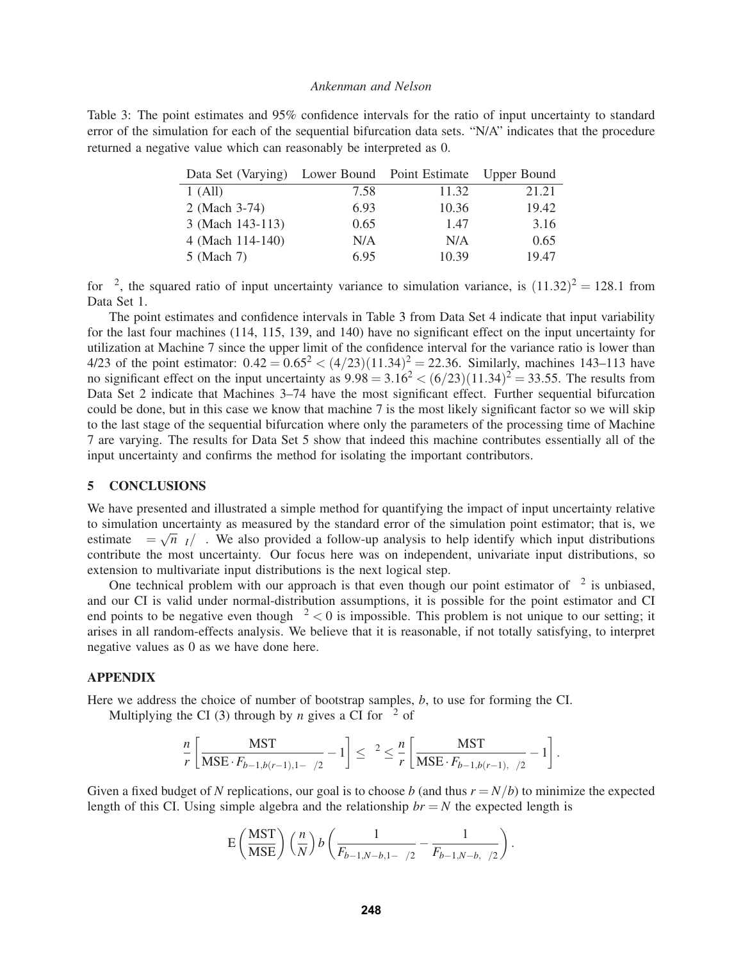Table 3: The point estimates and 95% confidence intervals for the ratio of input uncertainty to standard error of the simulation for each of the sequential bifurcation data sets. "N/A" indicates that the procedure returned a negative value which can reasonably be interpreted as 0.

| Data Set (Varying) Lower Bound Point Estimate Upper Bound |      |       |       |
|-----------------------------------------------------------|------|-------|-------|
| $1$ (All)                                                 | 7.58 | 11.32 | 21.21 |
| 2 (Mach 3-74)                                             | 6.93 | 10.36 | 19.42 |
| 3 (Mach 143-113)                                          | 0.65 | 1.47  | 3.16  |
| 4 (Mach 114-140)                                          | N/A  | N/A   | 0.65  |
| $5$ (Mach 7)                                              | 6.95 | 10.39 | 19.47 |

for  $\gamma^2$ , the squared ratio of input uncertainty variance to simulation variance, is  $(11.32)^2 = 128.1$  from Data Set 1.

The point estimates and confidence intervals in Table 3 from Data Set 4 indicate that input variability for the last four machines (114, 115, 139, and 140) have no significant effect on the input uncertainty for utilization at Machine 7 since the upper limit of the confidence interval for the variance ratio is lower than 4/23 of the point estimator:  $0.42 = 0.65^2 < (4/23)(11.34)^2 = 22.36$ . Similarly, machines 143–113 have no significant effect on the input uncertainty as  $9.98 = 3.16^2 < (6/23)(11.34)^2 = 33.55$ . The results from Data Set 2 indicate that Machines 3–74 have the most significant effect. Further sequential bifurcation could be done, but in this case we know that machine 7 is the most likely significant factor so we will skip to the last stage of the sequential bifurcation where only the parameters of the processing time of Machine 7 are varying. The results for Data Set 5 show that indeed this machine contributes essentially all of the input uncertainty and confirms the method for isolating the important contributors.

#### **5 CONCLUSIONS**

We have presented and illustrated a simple method for quantifying the impact of input uncertainty relative to simulation uncertainty as measured by the standard error of the simulation point estimator; that is, we estimate  $\gamma = \sqrt{n\sigma_I/\sigma}$ . We also provided a follow-up analysis to help identify which input distributions contribute the most uncertainty. Our focus here was on independent, univariate input distributions, so extension to multivariate input distributions is the next logical step.

One technical problem with our approach is that even though our point estimator of  $\gamma^2$  is unbiased, and our CI is valid under normal-distribution assumptions, it is possible for the point estimator and CI end points to be negative even though  $\gamma^2 < 0$  is impossible. This problem is not unique to our setting; it arises in all random-effects analysis. We believe that it is reasonable, if not totally satisfying, to interpret negative values as 0 as we have done here.

#### **APPENDIX**

Here we address the choice of number of bootstrap samples, *b*, to use for forming the CI.

Multiplying the CI (3) through by *n* gives a CI for  $\gamma^2$  of

$$
\frac{n}{r} \left[ \frac{\text{MST}}{\text{MSE} \cdot F_{b-1, b(r-1), 1-\alpha/2}} - 1 \right] \leq \gamma^2 \leq \frac{n}{r} \left[ \frac{\text{MST}}{\text{MSE} \cdot F_{b-1, b(r-1), \alpha/2}} - 1 \right].
$$

Given a fixed budget of N replications, our goal is to choose b (and thus  $r = N/b$ ) to minimize the expected length of this CI. Using simple algebra and the relationship  $br = N$  the expected length is

$$
E\left(\frac{\text{MST}}{\text{MSE}}\right)\left(\frac{n}{N}\right)b\left(\frac{1}{F_{b-1,N-b,1-\alpha/2}}-\frac{1}{F_{b-1,N-b,\alpha/2}}\right).
$$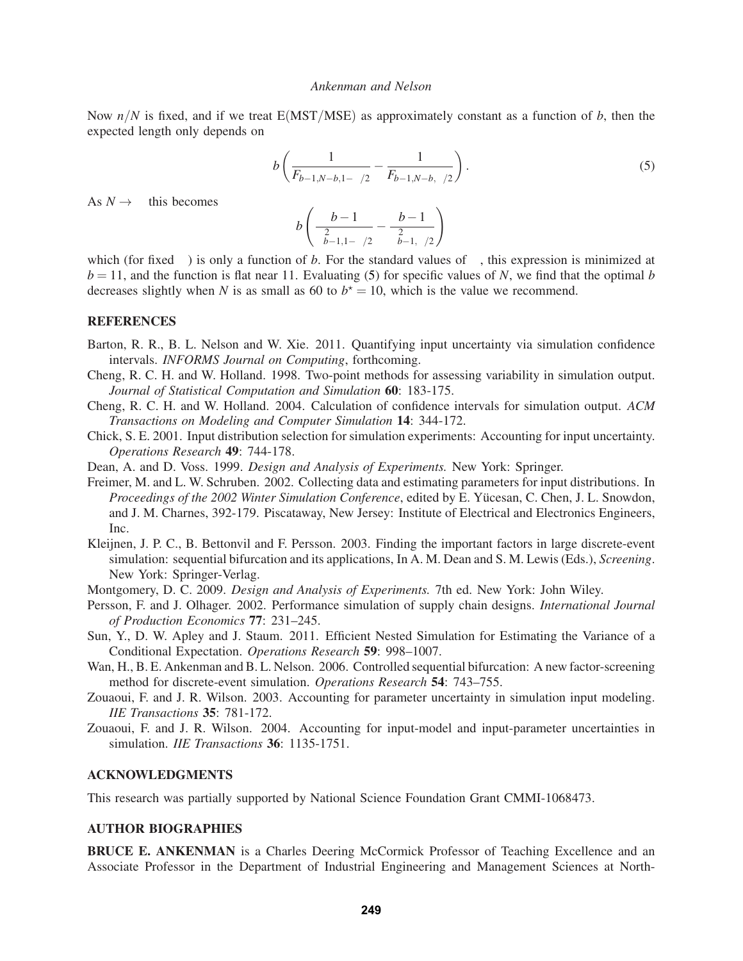Now  $n/N$  is fixed, and if we treat E(MST/MSE) as approximately constant as a function of *b*, then the expected length only depends on

$$
b\left(\frac{1}{F_{b-1,N-b,1-\alpha/2}} - \frac{1}{F_{b-1,N-b,\alpha/2}}\right).
$$
\n(5)

As  $N \rightarrow \infty$  this becomes

$$
b\left(\frac{b-1}{\chi^2_{b-1,1-\alpha/2}}-\frac{b-1}{\chi^2_{b-1,\alpha/2}}\right)
$$

which (for fixed  $\alpha$ ) is only a function of *b*. For the standard values of  $\alpha$ , this expression is minimized at  $b = 11$ , and the function is flat near 11. Evaluating (5) for specific values of *N*, we find that the optimal *b* decreases slightly when *N* is as small as 60 to  $b^* = 10$ , which is the value we recommend.

# **REFERENCES**

- Barton, R. R., B. L. Nelson and W. Xie. 2011. Quantifying input uncertainty via simulation confidence intervals. *INFORMS Journal on Computing*, forthcoming.
- Cheng, R. C. H. and W. Holland. 1998. Two-point methods for assessing variability in simulation output. *Journal of Statistical Computation and Simulation* **60**: 183-175.
- Cheng, R. C. H. and W. Holland. 2004. Calculation of confidence intervals for simulation output. *ACM Transactions on Modeling and Computer Simulation* **14**: 344-172.
- Chick, S. E. 2001. Input distribution selection for simulation experiments: Accounting for input uncertainty. *Operations Research* **49**: 744-178.
- Dean, A. and D. Voss. 1999. *Design and Analysis of Experiments.* New York: Springer.
- Freimer, M. and L. W. Schruben. 2002. Collecting data and estimating parameters for input distributions. In *Proceedings of the 2002 Winter Simulation Conference*, edited by E. Yücesan, C. Chen, J. L. Snowdon, and J. M. Charnes, 392-179. Piscataway, New Jersey: Institute of Electrical and Electronics Engineers, Inc.
- Kleijnen, J. P. C., B. Bettonvil and F. Persson. 2003. Finding the important factors in large discrete-event simulation: sequential bifurcation and its applications, In A. M. Dean and S. M. Lewis (Eds.), *Screening*. New York: Springer-Verlag.
- Montgomery, D. C. 2009. *Design and Analysis of Experiments.* 7th ed. New York: John Wiley.
- Persson, F. and J. Olhager. 2002. Performance simulation of supply chain designs. *International Journal of Production Economics* **77**: 231–245.
- Sun, Y., D. W. Apley and J. Staum. 2011. Efficient Nested Simulation for Estimating the Variance of a Conditional Expectation. *Operations Research* **59**: 998–1007.
- Wan, H., B. E. Ankenman and B. L. Nelson. 2006. Controlled sequential bifurcation: A new factor-screening method for discrete-event simulation. *Operations Research* **54**: 743–755.
- Zouaoui, F. and J. R. Wilson. 2003. Accounting for parameter uncertainty in simulation input modeling. *IIE Transactions* **35**: 781-172.
- Zouaoui, F. and J. R. Wilson. 2004. Accounting for input-model and input-parameter uncertainties in simulation. *IIE Transactions* **36**: 1135-1751.

### **ACKNOWLEDGMENTS**

This research was partially supported by National Science Foundation Grant CMMI-1068473.

# **AUTHOR BIOGRAPHIES**

**BRUCE E. ANKENMAN** is a Charles Deering McCormick Professor of Teaching Excellence and an Associate Professor in the Department of Industrial Engineering and Management Sciences at North-